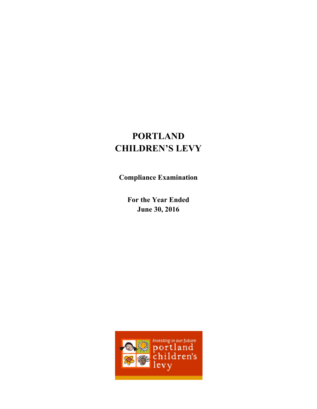# **PORTLAND CHILDREN'S LEVY**

**Compliance Examination** 

**For the Year Ended June 30, 2016** 

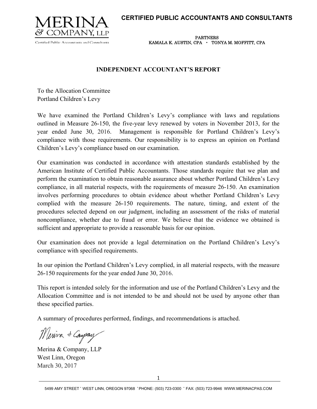### **CERTIFIED PUBLIC ACCOUNTANTS AND CONSULTANTS**



**m**  KAMALA K. AUSTIN, CPA • TONYA M. MOFFITT, CPA PARTNERS

### **INDEPENDENT ACCOUNTANT'S REPORT**

To the Allocation Committee Portland Children's Levy

We have examined the Portland Children's Levy's compliance with laws and regulations outlined in Measure 26-150, the five-year levy renewed by voters in November 2013, for the year ended June 30, 2016. Management is responsible for Portland Children's Levy's compliance with those requirements. Our responsibility is to express an opinion on Portland Children's Levy's compliance based on our examination.

Our examination was conducted in accordance with attestation standards established by the American Institute of Certified Public Accountants. Those standards require that we plan and perform the examination to obtain reasonable assurance about whether Portland Children's Levy compliance, in all material respects, with the requirements of measure 26-150. An examination involves performing procedures to obtain evidence about whether Portland Children's Levy complied with the measure 26-150 requirements. The nature, timing, and extent of the procedures selected depend on our judgment, including an assessment of the risks of material noncompliance, whether due to fraud or error. We believe that the evidence we obtained is sufficient and appropriate to provide a reasonable basis for our opinion.

Our examination does not provide a legal determination on the Portland Children's Levy's compliance with specified requirements.

In our opinion the Portland Children's Levy complied, in all material respects, with the measure 26-150 requirements for the year ended June 30, 2016.

This report is intended solely for the information and use of the Portland Children's Levy and the Allocation Committee and is not intended to be and should not be used by anyone other than these specified parties.

A summary of procedures performed, findings, and recommendations is attached.

Merina & Company

Merina & Company, LLP West Linn, Oregon March 30, 2017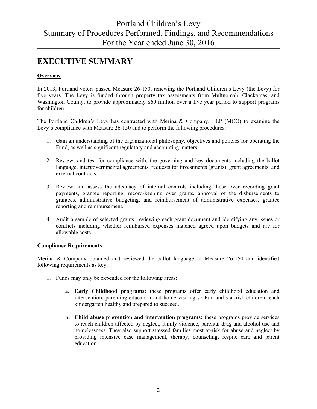# **EXECUTIVE SUMMARY**

### **Overview**

In 2013, Portland voters passed Measure 26-150, renewing the Portland Children's Levy (the Levy) for five years. The Levy is funded through property tax assessments from Multnomah, Clackamas, and Washington County, to provide approximately \$60 million over a five year period to support programs for children.

The Portland Children's Levy has contracted with Merina & Company, LLP (MCO) to examine the Levy's compliance with Measure 26-150 and to perform the following procedures:

- 1. Gain an understanding of the organizational philosophy, objectives and policies for operating the Fund, as well as significant regulatory and accounting matters.
- 2. Review, and test for compliance with, the governing and key documents including the ballot language, intergovernmental agreements, requests for investments (grants), grant agreements, and external contracts.
- 3. Review and assess the adequacy of internal controls including those over recording grant payments, grantee reporting, record-keeping over grants, approval of the disbursements to grantees, administrative budgeting, and reimbursement of administrative expenses, grantee reporting and reimbursement.
- 4. Audit a sample of selected grants, reviewing each grant document and identifying any issues or conflicts including whether reimbursed expenses matched agreed upon budgets and are for allowable costs.

### **Compliance Requirements**

Merina & Company obtained and reviewed the ballot language in Measure 26-150 and identified following requirements as key:

- 1. Funds may only be expended for the following areas:
	- **a. Early Childhood programs:** these programs offer early childhood education and intervention, parenting education and home visiting so Portland's at-risk children reach kindergarten healthy and prepared to succeed.
	- **b. Child abuse prevention and intervention programs:** these programs provide services to reach children affected by neglect, family violence, parental drug and alcohol use and homelessness. They also support stressed families most at-risk for abuse and neglect by providing intensive case management, therapy, counseling, respite care and parent education.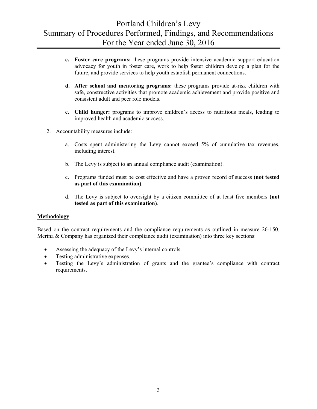- **c. Foster care programs:** these programs provide intensive academic support education advocacy for youth in foster care, work to help foster children develop a plan for the future, and provide services to help youth establish permanent connections.
- **d. After school and mentoring programs:** these programs provide at-risk children with safe, constructive activities that promote academic achievement and provide positive and consistent adult and peer role models.
- **e. Child hunger:** programs to improve children's access to nutritious meals, leading to improved health and academic success.
- 2. Accountability measures include:
	- a. Costs spent administering the Levy cannot exceed 5% of cumulative tax revenues, including interest.
	- b. The Levy is subject to an annual compliance audit (examination).
	- c. Programs funded must be cost effective and have a proven record of success **(not tested as part of this examination)**.
	- d. The Levy is subject to oversight by a citizen committee of at least five members **(not tested as part of this examination)**.

#### **Methodology**

Based on the contract requirements and the compliance requirements as outlined in measure 26-150, Merina & Company has organized their compliance audit (examination) into three key sections:

- Assessing the adequacy of the Levy's internal controls.
- Testing administrative expenses.
- Testing the Levy's administration of grants and the grantee's compliance with contract requirements.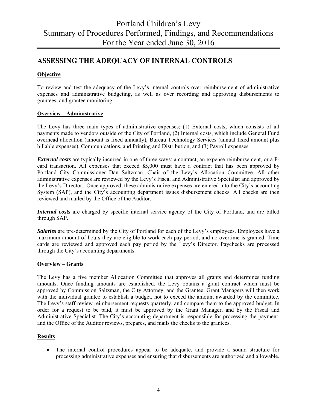### **ASSESSING THE ADEQUACY OF INTERNAL CONTROLS**

### **Objective**

To review and test the adequacy of the Levy's internal controls over reimbursement of administrative expenses and administrative budgeting, as well as over recording and approving disbursements to grantees, and grantee monitoring.

### **Overview – Administrative**

The Levy has three main types of administrative expenses; (1) External costs, which consists of all payments made to vendors outside of the City of Portland, (2) Internal costs, which include General Fund overhead allocation (amount is fixed annually), Bureau Technology Services (annual fixed amount plus billable expenses), Communications, and Printing and Distribution, and (3) Payroll expenses.

*External costs* are typically incurred in one of three ways: a contract, an expense reimbursement, or a Pcard transaction. All expenses that exceed \$5,000 must have a contract that has been approved by Portland City Commissioner Dan Saltzman, Chair of the Levy's Allocation Committee. All other administrative expenses are reviewed by the Levy's Fiscal and Administrative Specialist and approved by the Levy's Director. Once approved, these administrative expenses are entered into the City's accounting System (SAP), and the City's accounting department issues disbursement checks. All checks are then reviewed and mailed by the Office of the Auditor.

*Internal costs* are charged by specific internal service agency of the City of Portland, and are billed through SAP.

*Salaries* are pre-determined by the City of Portland for each of the Levy's employees. Employees have a maximum amount of hours they are eligible to work each pay period, and no overtime is granted. Time cards are reviewed and approved each pay period by the Levy's Director. Paychecks are processed through the City's accounting departments.

### **Overview – Grants**

The Levy has a five member Allocation Committee that approves all grants and determines funding amounts. Once funding amounts are established, the Levy obtains a grant contract which must be approved by Commission Saltzman, the City Attorney, and the Grantee. Grant Managers will then work with the individual grantee to establish a budget, not to exceed the amount awarded by the committee. The Levy's staff review reimbursement requests quarterly, and compare them to the approved budget. In order for a request to be paid, it must be approved by the Grant Manager, and by the Fiscal and Administrative Specialist. The City's accounting department is responsible for processing the payment, and the Office of the Auditor reviews, prepares, and mails the checks to the grantees.

### **Results**

 The internal control procedures appear to be adequate, and provide a sound structure for processing administrative expenses and ensuring that disbursements are authorized and allowable.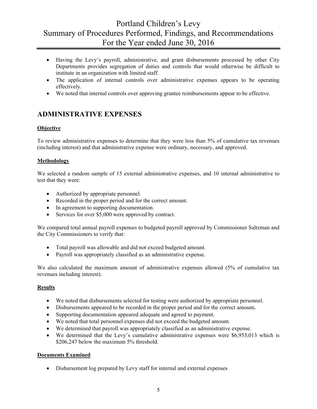- Having the Levy's payroll, administrative, and grant disbursements processed by other City Departments provides segregation of duties and controls that would otherwise be difficult to institute in an organization with limited staff.
- The application of internal controls over administrative expenses appears to be operating effectively.
- We noted that internal controls over approving grantee reimbursements appear to be effective.

### **ADMINISTRATIVE EXPENSES**

### **Objective**

To review administrative expenses to determine that they were less than 5% of cumulative tax revenues (including interest) and that administrative expense were ordinary, necessary, and approved.

### **Methodology**

We selected a random sample of 15 external administrative expenses, and 10 internal administrative to test that they were:

- Authorized by appropriate personnel.
- Recorded in the proper period and for the correct amount.
- In agreement to supporting documentation.
- Services for over \$5,000 were approved by contract.

We compared total annual payroll expenses to budgeted payroll approved by Commissioner Saltzman and the City Commissioners to verify that:

- Total payroll was allowable and did not exceed budgeted amount.
- Payroll was appropriately classified as an administrative expense.

We also calculated the maximum amount of administrative expenses allowed (5% of cumulative tax revenues including interest).

### **Results**

- We noted that disbursements selected for testing were authorized by appropriate personnel.
- Disbursements appeared to be recorded in the proper period and for the correct amount**.**
- Supporting documentation appeared adequate and agreed to payment.
- We noted that total personnel expenses did not exceed the budgeted amount.
- We determined that payroll was appropriately classified as an administrative expense.
- We determined that the Levy's cumulative administrative expenses were \$6,953,013 which is \$206,247 below the maximum 5% threshold.

### **Documents Examined**

Disbursement log prepared by Levy staff for internal and external expenses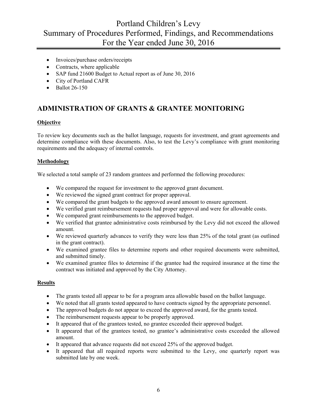- Invoices/purchase orders/receipts
- Contracts, where applicable
- SAP fund 21600 Budget to Actual report as of June 30, 2016
- City of Portland CAFR
- $\bullet$  Ballot 26-150

### **ADMINISTRATION OF GRANTS & GRANTEE MONITORING**

### **Objective**

To review key documents such as the ballot language, requests for investment, and grant agreements and determine compliance with these documents. Also, to test the Levy's compliance with grant monitoring requirements and the adequacy of internal controls.

### **Methodology**

We selected a total sample of 23 random grantees and performed the following procedures:

- We compared the request for investment to the approved grant document.
- We reviewed the signed grant contract for proper approval.
- We compared the grant budgets to the approved award amount to ensure agreement.
- We verified grant reimbursement requests had proper approval and were for allowable costs.
- We compared grant reimbursements to the approved budget.
- We verified that grantee administrative costs reimbursed by the Levy did not exceed the allowed amount.
- We reviewed quarterly advances to verify they were less than 25% of the total grant (as outlined in the grant contract).
- We examined grantee files to determine reports and other required documents were submitted, and submitted timely.
- We examined grantee files to determine if the grantee had the required insurance at the time the contract was initiated and approved by the City Attorney.

### **Results**

- The grants tested all appear to be for a program area allowable based on the ballot language.
- We noted that all grants tested appeared to have contracts signed by the appropriate personnel.
- The approved budgets do not appear to exceed the approved award, for the grants tested.
- The reimbursement requests appear to be properly approved.
- It appeared that of the grantees tested, no grantee exceeded their approved budget.
- It appeared that of the grantees tested, no grantee's administrative costs exceeded the allowed amount.
- It appeared that advance requests did not exceed 25% of the approved budget.
- It appeared that all required reports were submitted to the Levy, one quarterly report was submitted late by one week.